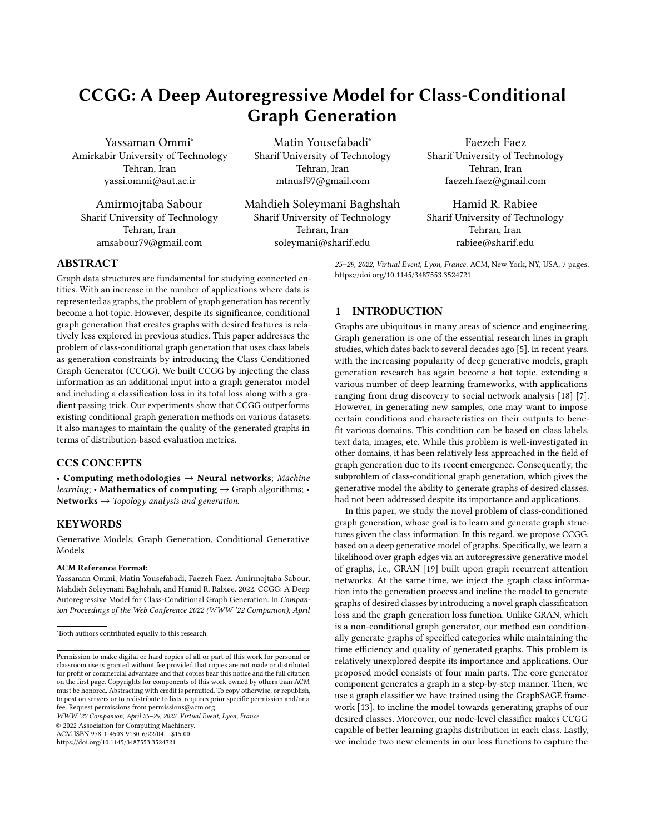# CCGG: A Deep Autoregressive Model for Class-Conditional Graph Generation

Yassaman Ommi<sup>∗</sup> Amirkabir University of Technology Tehran, Iran yassi.ommi@aut.ac.ir

Amirmojtaba Sabour Sharif University of Technology Tehran, Iran amsabour79@gmail.com

Matin Yousefabadi<sup>∗</sup> Sharif University of Technology Tehran, Iran mtnusf97@gmail.com

Mahdieh Soleymani Baghshah Sharif University of Technology Tehran, Iran soleymani@sharif.edu

Faezeh Faez Sharif University of Technology Tehran, Iran faezeh.faez@gmail.com

Hamid R. Rabiee Sharif University of Technology Tehran, Iran rabiee@sharif.edu

25–29, 2022, Virtual Event, Lyon, France. ACM, New York, NY, USA, [7](#page-6-0) pages. <https://doi.org/10.1145/3487553.3524721>

# ABSTRACT

Graph data structures are fundamental for studying connected entities. With an increase in the number of applications where data is represented as graphs, the problem of graph generation has recently become a hot topic. However, despite its significance, conditional graph generation that creates graphs with desired features is relatively less explored in previous studies. This paper addresses the problem of class-conditional graph generation that uses class labels as generation constraints by introducing the Class Conditioned Graph Generator (CCGG). We built CCGG by injecting the class information as an additional input into a graph generator model and including a classification loss in its total loss along with a gradient passing trick. Our experiments show that CCGG outperforms existing conditional graph generation methods on various datasets. It also manages to maintain the quality of the generated graphs in terms of distribution-based evaluation metrics.

# CCS CONCEPTS

• Computing methodologies  $\rightarrow$  Neural networks; Machine *learning*; • Mathematics of computing  $\rightarrow$  Graph algorithms; • Networks  $\rightarrow$  Topology analysis and generation.

# **KEYWORDS**

Generative Models, Graph Generation, Conditional Generative Models

#### ACM Reference Format:

Yassaman Ommi, Matin Yousefabadi, Faezeh Faez, Amirmojtaba Sabour, Mahdieh Soleymani Baghshah, and Hamid R. Rabiee. 2022. CCGG: A Deep Autoregressive Model for Class-Conditional Graph Generation. In Companion Proceedings of the Web Conference 2022 (WWW '22 Companion), April

WWW '22 Companion, April 25–29, 2022, Virtual Event, Lyon, France

© 2022 Association for Computing Machinery.

ACM ISBN 978-1-4503-9130-6/22/04. . . \$15.00

<https://doi.org/10.1145/3487553.3524721>

# 1 INTRODUCTION

Graphs are ubiquitous in many areas of science and engineering. Graph generation is one of the essential research lines in graph studies, which dates back to several decades ago [\[5\]](#page-5-0). In recent years, with the increasing popularity of deep generative models, graph generation research has again become a hot topic, extending a various number of deep learning frameworks, with applications ranging from drug discovery to social network analysis [\[18\]](#page-5-1) [\[7\]](#page-5-2). However, in generating new samples, one may want to impose certain conditions and characteristics on their outputs to benefit various domains. This condition can be based on class labels, text data, images, etc. While this problem is well-investigated in other domains, it has been relatively less approached in the field of graph generation due to its recent emergence. Consequently, the subproblem of class-conditional graph generation, which gives the generative model the ability to generate graphs of desired classes, had not been addressed despite its importance and applications.

In this paper, we study the novel problem of class-conditioned graph generation, whose goal is to learn and generate graph structures given the class information. In this regard, we propose CCGG, based on a deep generative model of graphs. Specifically, we learn a likelihood over graph edges via an autoregressive generative model of graphs, i.e., GRAN [\[19\]](#page-5-3) built upon graph recurrent attention networks. At the same time, we inject the graph class information into the generation process and incline the model to generate graphs of desired classes by introducing a novel graph classification loss and the graph generation loss function. Unlike GRAN, which is a non-conditional graph generator, our method can conditionally generate graphs of specified categories while maintaining the time efficiency and quality of generated graphs. This problem is relatively unexplored despite its importance and applications. Our proposed model consists of four main parts. The core generator component generates a graph in a step-by-step manner. Then, we use a graph classifier we have trained using the GraphSAGE framework [\[13\]](#page-5-4), to incline the model towards generating graphs of our desired classes. Moreover, our node-level classifier makes CCGG capable of better learning graphs distribution in each class. Lastly, we include two new elements in our loss functions to capture the

<sup>∗</sup>Both authors contributed equally to this research.

Permission to make digital or hard copies of all or part of this work for personal or classroom use is granted without fee provided that copies are not made or distributed for profit or commercial advantage and that copies bear this notice and the full citation on the first page. Copyrights for components of this work owned by others than ACM must be honored. Abstracting with credit is permitted. To copy otherwise, or republish, to post on servers or to redistribute to lists, requires prior specific permission and/or a fee. Request permissions from permissions@acm.org.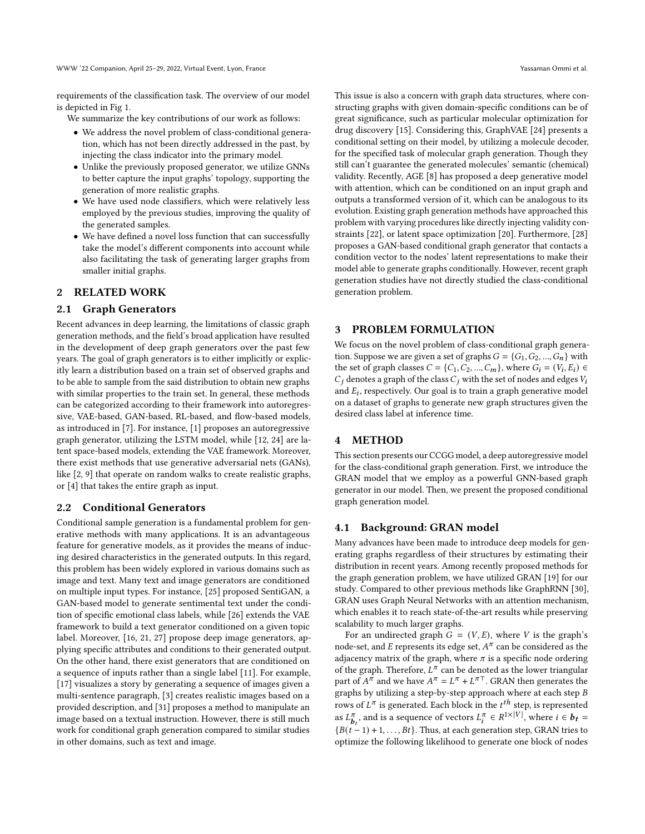requirements of the classification task. The overview of our model is depicted in Fig [1.](#page-2-0)

We summarize the key contributions of our work as follows:

- We address the novel problem of class-conditional generation, which has not been directly addressed in the past, by injecting the class indicator into the primary model.
- Unlike the previously proposed generator, we utilize GNNs to better capture the input graphs' topology, supporting the generation of more realistic graphs.
- We have used node classifiers, which were relatively less employed by the previous studies, improving the quality of the generated samples.
- We have defined a novel loss function that can successfully take the model's different components into account while also facilitating the task of generating larger graphs from smaller initial graphs.

## 2 RELATED WORK

#### 2.1 Graph Generators

Recent advances in deep learning, the limitations of classic graph generation methods, and the field's broad application have resulted in the development of deep graph generators over the past few years. The goal of graph generators is to either implicitly or explicitly learn a distribution based on a train set of observed graphs and to be able to sample from the said distribution to obtain new graphs with similar properties to the train set. In general, these methods can be categorized according to their framework into autoregressive, VAE-based, GAN-based, RL-based, and flow-based models, as introduced in [\[7\]](#page-5-2). For instance, [\[1\]](#page-5-5) proposes an autoregressive graph generator, utilizing the LSTM model, while [\[12,](#page-5-6) [24\]](#page-6-1) are latent space-based models, extending the VAE framework. Moreover, there exist methods that use generative adversarial nets (GANs), like [\[2,](#page-5-7) [9\]](#page-5-8) that operate on random walks to create realistic graphs, or [\[4\]](#page-5-9) that takes the entire graph as input.

#### 2.2 Conditional Generators

Conditional sample generation is a fundamental problem for generative methods with many applications. It is an advantageous feature for generative models, as it provides the means of inducing desired characteristics in the generated outputs. In this regard, this problem has been widely explored in various domains such as image and text. Many text and image generators are conditioned on multiple input types. For instance, [\[25\]](#page-6-2) proposed SentiGAN, a GAN-based model to generate sentimental text under the condition of specific emotional class labels, while [\[26\]](#page-6-3) extends the VAE framework to build a text generator conditioned on a given topic label. Moreover, [\[16,](#page-5-10) [21,](#page-5-11) [27\]](#page-6-4) propose deep image generators, applying specific attributes and conditions to their generated output. On the other hand, there exist generators that are conditioned on a sequence of inputs rather than a single label [\[11\]](#page-5-12). For example, [\[17\]](#page-5-13) visualizes a story by generating a sequence of images given a multi-sentence paragraph, [\[3\]](#page-5-14) creates realistic images based on a provided description, and [\[31\]](#page-6-5) proposes a method to manipulate an image based on a textual instruction. However, there is still much work for conditional graph generation compared to similar studies in other domains, such as text and image.

This issue is also a concern with graph data structures, where constructing graphs with given domain-specific conditions can be of great significance, such as particular molecular optimization for drug discovery [\[15\]](#page-5-15). Considering this, GraphVAE [\[24\]](#page-6-1) presents a conditional setting on their model, by utilizing a molecule decoder, for the specified task of molecular graph generation. Though they still can't guarantee the generated molecules' semantic (chemical) validity. Recently, AGE [\[8\]](#page-5-16) has proposed a deep generative model with attention, which can be conditioned on an input graph and outputs a transformed version of it, which can be analogous to its evolution. Existing graph generation methods have approached this problem with varying procedures like directly injecting validity constraints [\[22\]](#page-5-17), or latent space optimization [\[20\]](#page-5-18). Furthermore, [\[28\]](#page-6-6) proposes a GAN-based conditional graph generator that contacts a condition vector to the nodes' latent representations to make their model able to generate graphs conditionally. However, recent graph generation studies have not directly studied the class-conditional generation problem.

# 3 PROBLEM FORMULATION

We focus on the novel problem of class-conditional graph generation. Suppose we are given a set of graphs  $G = \{G_1, G_2, ..., G_n\}$  with the set of graph classes  $C = \{C_1, C_2, ..., C_m\}$ , where  $G_i = (V_i, E_i) \in$  $C_i$  denotes a graph of the class  $C_i$  with the set of nodes and edges  $V_i$ and  $E_i$ , respectively. Our goal is to train a graph generative model on a dataset of graphs to generate new graph structures given the desired class label at inference time.

# 4 METHOD

This section presents our CCGG model, a deep autoregressive model for the class-conditional graph generation. First, we introduce the GRAN model that we employ as a powerful GNN-based graph generator in our model. Then, we present the proposed conditional graph generation model.

#### 4.1 Background: GRAN model

Many advances have been made to introduce deep models for generating graphs regardless of their structures by estimating their distribution in recent years. Among recently proposed methods for the graph generation problem, we have utilized GRAN [\[19\]](#page-5-3) for our study. Compared to other previous methods like GraphRNN [\[30\]](#page-6-7), GRAN uses Graph Neural Networks with an attention mechanism, which enables it to reach state-of-the-art results while preserving scalability to much larger graphs.

For an undirected graph  $G = (V, E)$ , where V is the graph's node-set, and E represents its edge set,  $A^{\pi}$  can be considered as the adjacency matrix of the graph, where  $\pi$  is a specific node ordering of the graph. Therefore,  $L^{\pi}$  can be denoted as the lower triangular part of  $A^{\pi}$  and we have  $A^{\pi} = L^{\pi} + L^{\pi}$ . GRAN then generates the graphs by utilizing a step-by-step approach where at each step  ${\cal B}$ rows of  $L^{\pi}$  is generated. Each block in the  $t^{th}$  step, is represented as  $L_{\mathbf{k}}^{\pi}$  $\overline{b}_t^{\pi}$ , and is a sequence of vectors  $L_i^{\pi} \in R^{1 \times |V|}$ , where  $i \in b_t =$  ${B(t-1) + 1, ..., Bt}$ . Thus, at each generation step, GRAN tries to optimize the following likelihood to generate one block of nodes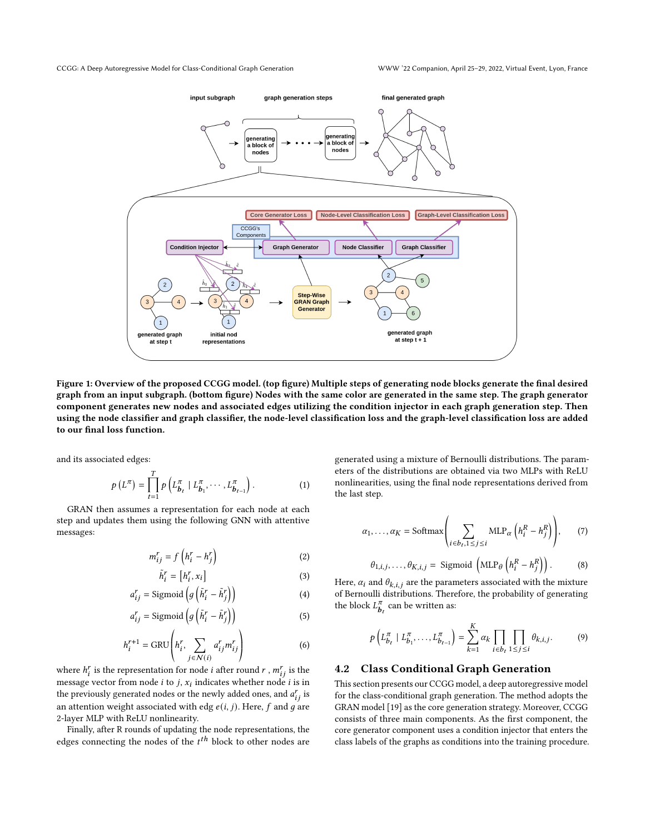<span id="page-2-0"></span>

Figure 1: Overview of the proposed CCGG model. (top figure) Multiple steps of generating node blocks generate the final desired graph from an input subgraph. (bottom figure) Nodes with the same color are generated in the same step. The graph generator component generates new nodes and associated edges utilizing the condition injector in each graph generation step. Then using the node classifier and graph classifier, the node-level classification loss and the graph-level classification loss are added to our final loss function.

and its associated edges:

$$
p(L^{\pi}) = \prod_{t=1}^{T} p\left(L_{b_t}^{\pi} \mid L_{b_1}^{\pi}, \cdots, L_{b_{t-1}}^{\pi}\right).
$$
 (1)

GRAN then assumes a representation for each node at each step and updates them using the following GNN with attentive messages:

$$
m_{ij}^r = f\left(h_i^r - h_j^r\right) \tag{2}
$$

$$
\tilde{h}_i^r = [h_i^r, x_i] \tag{3}
$$

$$
a_{ij}^r = \text{Sigmoid}\left(g\left(\tilde{h}_i^r - \tilde{h}_j^r\right)\right) \tag{4}
$$

$$
a_{ij}^r = \text{Sigmoid}\left(g\left(\tilde{h}_i^r - \tilde{h}_j^r\right)\right) \tag{5}
$$

$$
h_i^{r+1} = \text{GRU}\left(h_i^r, \sum_{j \in \mathcal{N}(i)} a_{ij}^r m_{ij}^r\right) \tag{6}
$$

where  $h_i^r$  is the representation for node *i* after round *r* ,  $m_{ij}^r$  is the message vector from node  $i$  to  $j$ ,  $x_i$  indicates whether node  $i$  is in the previously generated nodes or the newly added ones, and  $a_{ij}^r$  is an attention weight associated with edg  $e(i, j)$ . Here,  $f$  and  $g$  are 2-layer MLP with ReLU nonlinearity.

Finally, after R rounds of updating the node representations, the edges connecting the nodes of the  $t^{th}$  block to other nodes are generated using a mixture of Bernoulli distributions. The parameters of the distributions are obtained via two MLPs with ReLU nonlinearities, using the final node representations derived from the last step.

$$
\alpha_1, \dots, \alpha_K = \text{Softmax}\left(\sum_{i \in b_t, 1 \le j \le i} \text{MLP}_{\alpha}\left(h_i^R - h_j^R\right)\right), \qquad (7)
$$

$$
\theta_{1,i,j}, \dots, \theta_{K,i,j} = \text{Sigmoid}\left(\text{MLP}_{\theta}\left(h_i^R - h_j^R\right)\right). \qquad (8)
$$

Here,  $\alpha_i$  and  $\theta_{k,i,j}$  are the parameters associated with the mixture of Bernoulli distributions. Therefore, the probability of generating the block  $L_h^{\pi}$  $\frac{\pi}{b}$  can be written as:

$$
p\left(L_{b_{t}}^{\pi} \mid L_{b_{1}}^{\pi}, \ldots, L_{b_{t-1}}^{\pi}\right) = \sum_{k=1}^{K} \alpha_{k} \prod_{i \in b_{t}} \prod_{1 \leq j \leq i} \theta_{k,i,j}.
$$
 (9)

#### 4.2 Class Conditional Graph Generation

This section presents our CCGG model, a deep autoregressive model for the class-conditional graph generation. The method adopts the GRAN model [\[19\]](#page-5-3) as the core generation strategy. Moreover, CCGG consists of three main components. As the first component, the core generator component uses a condition injector that enters the class labels of the graphs as conditions into the training procedure.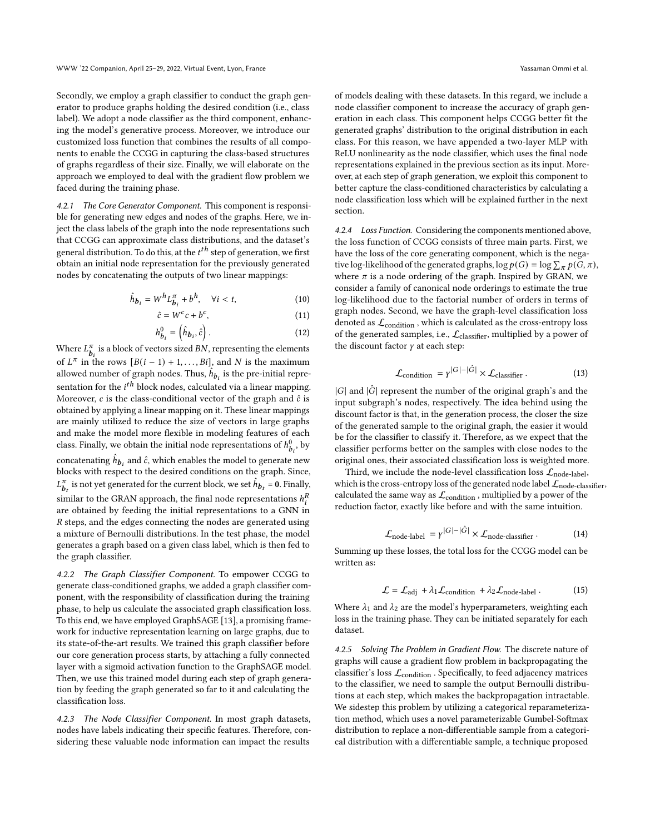Secondly, we employ a graph classifier to conduct the graph generator to produce graphs holding the desired condition (i.e., class label). We adopt a node classifier as the third component, enhancing the model's generative process. Moreover, we introduce our customized loss function that combines the results of all components to enable the CCGG in capturing the class-based structures of graphs regardless of their size. Finally, we will elaborate on the approach we employed to deal with the gradient flow problem we faced during the training phase.

4.2.1 The Core Generator Component. This component is responsible for generating new edges and nodes of the graphs. Here, we inject the class labels of the graph into the node representations such that CCGG can approximate class distributions, and the dataset's general distribution. To do this, at the  $t^{th}$  step of generation, we first obtain an initial node representation for the previously generated nodes by concatenating the outputs of two linear mappings:

$$
\hat{h}_{b_i} = W^h L_{b_i}^{\pi} + b^h, \quad \forall i < t,\tag{10}
$$

$$
\hat{c} = W^c c + b^c,\tag{11}
$$

$$
h_{b_i}^0 = \left(\hat{h}_{b_i}, \hat{c}\right). \tag{12}
$$

Where  $L^{\pi}_{\mathbf{k}}$  $\frac{\pi}{b_i}$  is a block of vectors sized BN, representing the elements of  $L^{\pi}$  in the rows  $[B(i-1) + 1, \ldots, Bi]$ , and N is the maximum allowed number of graph nodes. Thus,  $\hat{h}_{b_i}$  is the pre-initial representation for the  $i^{th}$  block nodes, calculated via a linear mapping. Moreover,  $c$  is the class-conditional vector of the graph and  $\hat{c}$  is obtained by applying a linear mapping on it. These linear mappings are mainly utilized to reduce the size of vectors in large graphs and make the model more flexible in modeling features of each class. Finally, we obtain the initial node representations of  $h_{b_i}^0$ , by concatenating  $\hat{h}_{\bm{b}_i}$  and  $\hat{c}$ , which enables the model to generate new blocks with respect to the desired conditions on the graph. Since,  $L^{\pi}$  $\frac{\pi}{b}_t$  is not yet generated for the current block, we set  $\hat{h}_{b_t}$  = 0. Finally, similar to the GRAN approach, the final node representations  $h_i^R$ are obtained by feeding the initial representations to a GNN in  $R$  steps, and the edges connecting the nodes are generated using a mixture of Bernoulli distributions. In the test phase, the model generates a graph based on a given class label, which is then fed to the graph classifier.

4.2.2 The Graph Classifier Component. To empower CCGG to generate class-conditioned graphs, we added a graph classifier component, with the responsibility of classification during the training phase, to help us calculate the associated graph classification loss. To this end, we have employed GraphSAGE [\[13\]](#page-5-4), a promising framework for inductive representation learning on large graphs, due to its state-of-the-art results. We trained this graph classifier before our core generation process starts, by attaching a fully connected layer with a sigmoid activation function to the GraphSAGE model. Then, we use this trained model during each step of graph generation by feeding the graph generated so far to it and calculating the classification loss.

4.2.3 The Node Classifier Component. In most graph datasets, nodes have labels indicating their specific features. Therefore, considering these valuable node information can impact the results

of models dealing with these datasets. In this regard, we include a node classifier component to increase the accuracy of graph generation in each class. This component helps CCGG better fit the generated graphs' distribution to the original distribution in each class. For this reason, we have appended a two-layer MLP with ReLU nonlinearity as the node classifier, which uses the final node representations explained in the previous section as its input. Moreover, at each step of graph generation, we exploit this component to better capture the class-conditioned characteristics by calculating a node classification loss which will be explained further in the next section.

4.2.4 Loss Function. Considering the components mentioned above, the loss function of CCGG consists of three main parts. First, we have the loss of the core generating component, which is the negative log-likelihood of the generated graphs,  $\log p(G) = \log \sum_{\pi} p(G, \pi)$ , where  $\pi$  is a node ordering of the graph. Inspired by GRAN, we consider a family of canonical node orderings to estimate the true log-likelihood due to the factorial number of orders in terms of graph nodes. Second, we have the graph-level classification loss denoted as  $\mathcal{L}_{\text{condition}}$  , which is calculated as the cross-entropy loss of the generated samples, i.e.,  $\mathcal{L}_\mathrm{classifier}$ , multiplied by a power of the discount factor  $\gamma$  at each step:

$$
\mathcal{L}_{\text{condition}} = \gamma^{|G| - |\hat{G}|} \times \mathcal{L}_{\text{classification}} \tag{13}
$$

 $|G|$  and  $|\hat{G}|$  represent the number of the original graph's and the input subgraph's nodes, respectively. The idea behind using the discount factor is that, in the generation process, the closer the size of the generated sample to the original graph, the easier it would be for the classifier to classify it. Therefore, as we expect that the classifier performs better on the samples with close nodes to the original ones, their associated classification loss is weighted more.

Third, we include the node-level classification loss  $\mathcal{L}_{\text{node-label}}$ , which is the cross-entropy loss of the generated node label  $\mathcal{L}_{\text{node-classifier}}$ , calculated the same way as  $\mathcal{L}_{\text{condition}}$ , multiplied by a power of the reduction factor, exactly like before and with the same intuition.

$$
\mathcal{L}_{\text{node-label}} = \gamma^{|G| - |\hat{G}|} \times \mathcal{L}_{\text{node-classifier}} \,. \tag{14}
$$

Summing up these losses, the total loss for the CCGG model can be written as:

<span id="page-3-0"></span>
$$
\mathcal{L} = \mathcal{L}_{\text{adj}} + \lambda_1 \mathcal{L}_{\text{condition}} + \lambda_2 \mathcal{L}_{\text{node-label}}. \tag{15}
$$

Where  $\lambda_1$  and  $\lambda_2$  are the model's hyperparameters, weighting each loss in the training phase. They can be initiated separately for each dataset.

4.2.5 Solving The Problem in Gradient Flow. The discrete nature of graphs will cause a gradient flow problem in backpropagating the classifier's loss  $\mathcal{L}_{\text{condition}}$ . Specifically, to feed adjacency matrices to the classifier, we need to sample the output Bernoulli distributions at each step, which makes the backpropagation intractable. We sidestep this problem by utilizing a categorical reparameterization method, which uses a novel parameterizable Gumbel-Softmax distribution to replace a non-differentiable sample from a categorical distribution with a differentiable sample, a technique proposed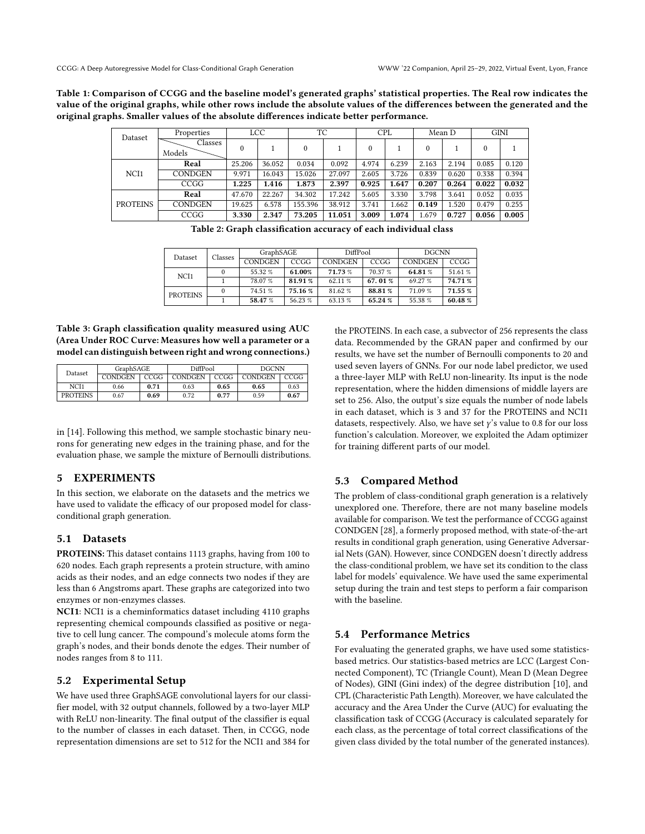<span id="page-4-0"></span>Table 1: Comparison of CCGG and the baseline model's generated graphs' statistical properties. The Real row indicates the value of the original graphs, while other rows include the absolute values of the differences between the generated and the original graphs. Smaller values of the absolute differences indicate better performance.

| Dataset          | Properties        | LCC      |        | ТC       |        | <b>CPL</b> |       | Mean D   |       | <b>GINI</b> |       |
|------------------|-------------------|----------|--------|----------|--------|------------|-------|----------|-------|-------------|-------|
|                  | Classes<br>Models | $\theta$ |        | $\theta$ |        | 0          |       | $\theta$ |       | $\theta$    |       |
| NCI <sub>1</sub> | Real              | 25.206   | 36.052 | 0.034    | 0.092  | 4.974      | 6.239 | 2.163    | 2.194 | 0.085       | 0.120 |
|                  | <b>CONDGEN</b>    | 9.971    | 16.043 | 15.026   | 27.097 | 2.605      | 3.726 | 0.839    | 0.620 | 0.338       | 0.394 |
|                  | CCGG              | 1.225    | 1.416  | 1.873    | 2.397  | 0.925      | 1.647 | 0.207    | 0.264 | 0.022       | 0.032 |
| <b>PROTEINS</b>  | Real              | 47.670   | 22.267 | 34.302   | 17.242 | 5.605      | 3.330 | 3.798    | 3.641 | 0.052       | 0.035 |
|                  | <b>CONDGEN</b>    | 19.625   | 6.578  | 155.396  | 38.912 | 3.741      | 1.662 | 0.149    | 1.520 | 0.479       | 0.255 |
|                  | CCGG              | 3.330    | 2.347  | 73.205   | 11.051 | 3.009      | 1.074 | 1.679    | 0.727 | 0.056       | 0.005 |

Table 2: Graph classification accuracy of each individual class

| Dataset          | Classes | GraphSAGE |         | DiffPool       |         | <b>DGCNN</b>   |         |  |
|------------------|---------|-----------|---------|----------------|---------|----------------|---------|--|
|                  |         | CONDGEN   | CCGG    | <b>CONDGEN</b> | CCGG    | <b>CONDGEN</b> | CCGG    |  |
| NCI <sub>1</sub> |         | 55.32 %   | 61.00%  | 71.73 %        | 70.37 % | 64.81%         | 51.61 % |  |
|                  |         | 78.07%    | 81.91 % | 62.11 %        | 67.01%  | 69.27 %        | 74.71%  |  |
| <b>PROTEINS</b>  | 0       | 74.51 %   | 75.16 % | 81.62 %        | 88.81%  | 71.09 %        | 71.55 % |  |
|                  |         | 58.47 %   | 56.23 % | 63.13 %        | 65.24 % | 55.38 %        | 60.48%  |  |

<span id="page-4-1"></span>Table 3: Graph classification quality measured using AUC (Area Under ROC Curve: Measures how well a parameter or a model can distinguish between right and wrong connections.)

| Dataset          | GraphSAGE      |      | DiffPool       |      | DGCNN          |      |  |
|------------------|----------------|------|----------------|------|----------------|------|--|
|                  | <b>CONDGEN</b> | CCGG | <b>CONDGEN</b> | CCGG | <b>CONDGEN</b> | CCGG |  |
| NCI <sub>1</sub> | 0.66           | 0.71 | 0.63           | 0.65 | 0.65           | 0.63 |  |
| <b>PROTEINS</b>  | 0.67           | 0.69 | 0.72           | 0.77 | 0.59           | 0.67 |  |

in [\[14\]](#page-5-19). Following this method, we sample stochastic binary neurons for generating new edges in the training phase, and for the evaluation phase, we sample the mixture of Bernoulli distributions.

#### 5 EXPERIMENTS

In this section, we elaborate on the datasets and the metrics we have used to validate the efficacy of our proposed model for classconditional graph generation.

# 5.1 Datasets

PROTEINS: This dataset contains 1113 graphs, having from 100 to 620 nodes. Each graph represents a protein structure, with amino acids as their nodes, and an edge connects two nodes if they are less than 6 Angstroms apart. These graphs are categorized into two enzymes or non-enzymes classes.

NCI1: NCI1 is a cheminformatics dataset including 4110 graphs representing chemical compounds classified as positive or negative to cell lung cancer. The compound's molecule atoms form the graph's nodes, and their bonds denote the edges. Their number of nodes ranges from 8 to 111.

#### 5.2 Experimental Setup

We have used three GraphSAGE convolutional layers for our classifier model, with 32 output channels, followed by a two-layer MLP with ReLU non-linearity. The final output of the classifier is equal to the number of classes in each dataset. Then, in CCGG, node representation dimensions are set to 512 for the NCI1 and 384 for

the PROTEINS. In each case, a subvector of 256 represents the class data. Recommended by the GRAN paper and confirmed by our results, we have set the number of Bernoulli components to 20 and used seven layers of GNNs. For our node label predictor, we used a three-layer MLP with ReLU non-linearity. Its input is the node representation, where the hidden dimensions of middle layers are set to 256. Also, the output's size equals the number of node labels in each dataset, which is 3 and 37 for the PROTEINS and NCI1 datasets, respectively. Also, we have set  $\gamma$ 's value to 0.8 for our loss function's calculation. Moreover, we exploited the Adam optimizer for training different parts of our model.

#### 5.3 Compared Method

The problem of class-conditional graph generation is a relatively unexplored one. Therefore, there are not many baseline models available for comparison. We test the performance of CCGG against CONDGEN [\[28\]](#page-6-6), a formerly proposed method, with state-of-the-art results in conditional graph generation, using Generative Adversarial Nets (GAN). However, since CONDGEN doesn't directly address the class-conditional problem, we have set its condition to the class label for models' equivalence. We have used the same experimental setup during the train and test steps to perform a fair comparison with the baseline.

#### 5.4 Performance Metrics

For evaluating the generated graphs, we have used some statisticsbased metrics. Our statistics-based metrics are LCC (Largest Connected Component), TC (Triangle Count), Mean D (Mean Degree of Nodes), GINI (Gini index) of the degree distribution [\[10\]](#page-5-20), and CPL (Characteristic Path Length). Moreover, we have calculated the accuracy and the Area Under the Curve (AUC) for evaluating the classification task of CCGG (Accuracy is calculated separately for each class, as the percentage of total correct classifications of the given class divided by the total number of the generated instances).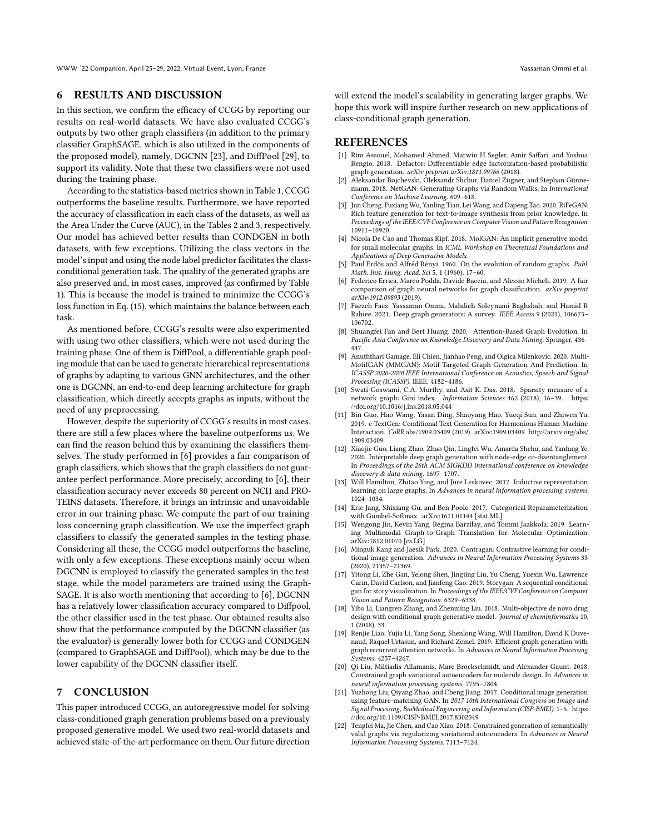WWW '22 Companion, April 25–29, 2022, Virtual Event, Lyon, France Yassaman Ommi et al.

### 6 RESULTS AND DISCUSSION

In this section, we confirm the efficacy of CCGG by reporting our results on real-world datasets. We have also evaluated CCGG's outputs by two other graph classifiers (in addition to the primary classifier GraphSAGE, which is also utilized in the components of the proposed model), namely, DGCNN [\[23\]](#page-6-8), and DiffPool [\[29\]](#page-6-9), to support its validity. Note that these two classifiers were not used during the training phase.

According to the statistics-based metrics shown in Table [1,](#page-4-0) CCGG outperforms the baseline results. Furthermore, we have reported the accuracy of classification in each class of the datasets, as well as the Area Under the Curve (AUC), in the Tables [2](#page-4-0) and [3,](#page-4-1) respectively. Our model has achieved better results than CONDGEN in both datasets, with few exceptions. Utilizing the class vectors in the model's input and using the node label predictor facilitates the classconditional generation task. The quality of the generated graphs are also preserved and, in most cases, improved (as confirmed by Table [1\)](#page-4-0). This is because the model is trained to minimize the CCGG's loss function in Eq. [\(15\)](#page-3-0), which maintains the balance between each task.

As mentioned before, CCGG's results were also experimented with using two other classifiers, which were not used during the training phase. One of them is DiffPool, a differentiable graph pooling module that can be used to generate hierarchical representations of graphs by adapting to various GNN architectures, and the other one is DGCNN, an end-to-end deep learning architecture for graph classification, which directly accepts graphs as inputs, without the need of any preprocessing.

However, despite the superiority of CCGG's results in most cases, there are still a few places where the baseline outperforms us. We can find the reason behind this by examining the classifiers themselves. The study performed in [\[6\]](#page-5-21) provides a fair comparison of graph classifiers, which shows that the graph classifiers do not guarantee perfect performance. More precisely, according to [\[6\]](#page-5-21), their classification accuracy never exceeds 80 percent on NCI1 and PRO-TEINS datasets. Therefore, it brings an intrinsic and unavoidable error in our training phase. We compute the part of our training loss concerning graph classification. We use the imperfect graph classifiers to classify the generated samples in the testing phase. Considering all these, the CCGG model outperforms the baseline, with only a few exceptions. These exceptions mainly occur when DGCNN is employed to classify the generated samples in the test stage, while the model parameters are trained using the Graph-SAGE. It is also worth mentioning that according to [\[6\]](#page-5-21), DGCNN has a relatively lower classification accuracy compared to Diffpool, the other classifier used in the test phase. Our obtained results also show that the performance computed by the DGCNN classifier (as the evaluator) is generally lower both for CCGG and CONDGEN (compared to GraphSAGE and DiffPool), which may be due to the lower capability of the DGCNN classifier itself.

#### 7 CONCLUSION

This paper introduced CCGG, an autoregressive model for solving class-conditioned graph generation problems based on a previously proposed generative model. We used two real-world datasets and achieved state-of-the-art performance on them. Our future direction

will extend the model's scalability in generating larger graphs. We hope this work will inspire further research on new applications of class-conditional graph generation.

#### **REFERENCES**

- <span id="page-5-5"></span>[1] Rim Assouel, Mohamed Ahmed, Marwin H Segler, Amir Saffari, and Yoshua Bengio. 2018. Defactor: Differentiable edge factorization-based probabilistic graph generation. arXiv preprint arXiv:1811.09766 (2018).
- <span id="page-5-7"></span>[2] Aleksandar Bojchevski, Oleksandr Shchur, Daniel Zügner, and Stephan Günnemann. 2018. NetGAN: Generating Graphs via Random Walks. In International Conference on Machine Learning. 609–618.
- <span id="page-5-14"></span>[3] Jun Cheng, Fuxiang Wu, Yanling Tian, Lei Wang, and Dapeng Tao. 2020. RiFeGAN: Rich feature generation for text-to-image synthesis from prior knowledge. In Proceedings of the IEEE/CVF Conference on Computer Vision and Pattern Recognition. 10911–10920.
- <span id="page-5-9"></span>[4] Nicola De Cao and Thomas Kipf. 2018. MolGAN: An implicit generative model for small molecular graphs. In ICML Workshop on Theoretical Foundations and Applications of Deep Generative Models.
- <span id="page-5-0"></span>Paul Erdős and Alfréd Rényi. 1960. On the evolution of random graphs. Publ. Math. Inst. Hung. Acad. Sci 5, 1 (1960), 17–60.
- <span id="page-5-21"></span>[6] Federico Errica, Marco Podda, Davide Bacciu, and Alessio Micheli. 2019. A fair comparison of graph neural networks for graph classification. arXiv preprint arXiv:1912.09893 (2019).
- <span id="page-5-2"></span>[7] Faezeh Faez, Yassaman Ommi, Mahdieh Soleymani Baghshah, and Hamid R Rabiee. 2021. Deep graph generators: A survey. IEEE Access 9 (2021), 106675– 106702.
- <span id="page-5-16"></span>[8] Shuangfei Fan and Bert Huang. 2020. Attention-Based Graph Evolution. In Pacific-Asia Conference on Knowledge Discovery and Data Mining. Springer, 436– 447.
- <span id="page-5-8"></span>[9] Anuththari Gamage, Eli Chien, Jianhao Peng, and Olgica Milenkovic. 2020. Multi-MotifGAN (MMGAN): Motif-Targeted Graph Generation And Prediction. In ICASSP 2020-2020 IEEE International Conference on Acoustics, Speech and Signal Processing (ICASSP). IEEE, 4182–4186.
- <span id="page-5-20"></span>[10] Swati Goswami, C.A. Murthy, and Asit K. Das. 2018. Sparsity measure of a network graph: Gini index. Information Sciences 462 (2018), 16–39. [https:](https://doi.org/10.1016/j.ins.2018.05.044) [//doi.org/10.1016/j.ins.2018.05.044](https://doi.org/10.1016/j.ins.2018.05.044)
- <span id="page-5-12"></span>[11] Bin Guo, Hao Wang, Yasan Ding, Shaoyang Hao, Yueqi Sun, and Zhiwen Yu. 2019. c-TextGen: Conditional Text Generation for Harmonious Human-Machine Interaction. CoRR abs/1909.03409 (2019). arXiv[:1909.03409](https://arxiv.org/abs/1909.03409) [http://arxiv.org/abs/](http://arxiv.org/abs/1909.03409) [1909.03409](http://arxiv.org/abs/1909.03409)
- <span id="page-5-6"></span>[12] Xiaojie Guo, Liang Zhao, Zhao Qin, Lingfei Wu, Amarda Shehu, and Yanfang Ye. 2020. Interpretable deep graph generation with node-edge co-disentanglement. In Proceedings of the 26th ACM SIGKDD international conference on knowledge discovery & data mining. 1697–1707.
- <span id="page-5-4"></span>[13] Will Hamilton, Zhitao Ying, and Jure Leskovec. 2017. Inductive representation learning on large graphs. In Advances in neural information processing systems. 1024–1034.
- <span id="page-5-19"></span>[14] Eric Jang, Shixiang Gu, and Ben Poole. 2017. Categorical Reparameterization with Gumbel-Softmax. arXiv[:1611.01144](https://arxiv.org/abs/1611.01144) [stat.ML]
- <span id="page-5-15"></span>[15] Wengong Jin, Kevin Yang, Regina Barzilay, and Tommi Jaakkola. 2019. Learning Multimodal Graph-to-Graph Translation for Molecular Optimization. arXiv[:1812.01070](https://arxiv.org/abs/1812.01070) [cs.LG]
- <span id="page-5-10"></span>[16] Minguk Kang and Jaesik Park. 2020. Contragan: Contrastive learning for conditional image generation. Advances in Neural Information Processing Systems 33 (2020), 21357–21369.
- <span id="page-5-13"></span>[17] Yitong Li, Zhe Gan, Yelong Shen, Jingjing Liu, Yu Cheng, Yuexin Wu, Lawrence Carin, David Carlson, and Jianfeng Gao. 2019. Storygan: A sequential conditional gan for story visualization. In Proceedings of the IEEE/CVF Conference on Computer Vision and Pattern Recognition. 6329–6338.
- <span id="page-5-1"></span>[18] Yibo Li, Liangren Zhang, and Zhenming Liu. 2018. Multi-objective de novo drug design with conditional graph generative model. Journal of cheminformatics 10, 1 (2018), 33.
- <span id="page-5-3"></span>[19] Renjie Liao, Yujia Li, Yang Song, Shenlong Wang, Will Hamilton, David K Duvenaud, Raquel Urtasun, and Richard Zemel. 2019. Efficient graph generation with graph recurrent attention networks. In Advances in Neural Information Processing Systems. 4257–4267.
- <span id="page-5-18"></span>[20] Qi Liu, Miltiadis Allamanis, Marc Brockschmidt, and Alexander Gaunt. 2018. Constrained graph variational autoencoders for molecule design. In Advances in neural information processing systems. 7795–7804.
- <span id="page-5-11"></span>[21] Yuzhong Liu, Qiyang Zhao, and Cheng Jiang. 2017. Conditional image generation using feature-matching GAN. In 2017 10th International Congress on Image and Signal Processing, BioMedical Engineering and Informatics (CISP-BMEI). 1–5. [https:](https://doi.org/10.1109/CISP-BMEI.2017.8302049) [//doi.org/10.1109/CISP-BMEI.2017.8302049](https://doi.org/10.1109/CISP-BMEI.2017.8302049)
- <span id="page-5-17"></span>[22] Tengfei Ma, Jie Chen, and Cao Xiao. 2018. Constrained generation of semantically valid graphs via regularizing variational autoencoders. In Advances in Neural Information Processing Systems. 7113–7124.